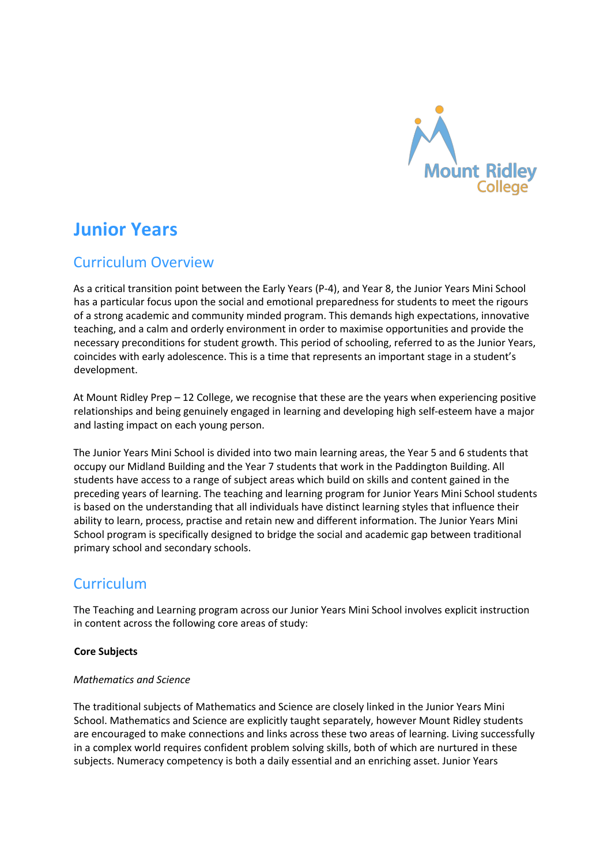

# **Junior Years**

# Curriculum Overview

As a critical transition point between the Early Years (P-4), and Year 8, the Junior Years Mini School has a particular focus upon the social and emotional preparedness for students to meet the rigours of a strong academic and community minded program. This demands high expectations, innovative teaching, and a calm and orderly environment in order to maximise opportunities and provide the necessary preconditions for student growth. This period of schooling, referred to as the Junior Years, coincides with early adolescence. This is a time that represents an important stage in a student's development.

At Mount Ridley Prep – 12 College, we recognise that these are the years when experiencing positive relationships and being genuinely engaged in learning and developing high self-esteem have a major and lasting impact on each young person.

The Junior Years Mini School is divided into two main learning areas, the Year 5 and 6 students that occupy our Midland Building and the Year 7 students that work in the Paddington Building. All students have access to a range of subject areas which build on skills and content gained in the preceding years of learning. The teaching and learning program for Junior Years Mini School students is based on the understanding that all individuals have distinct learning styles that influence their ability to learn, process, practise and retain new and different information. The Junior Years Mini School program is specifically designed to bridge the social and academic gap between traditional primary school and secondary schools.

# **Curriculum**

The Teaching and Learning program across our Junior Years Mini School involves explicit instruction in content across the following core areas of study:

# **Core Subjects**

#### *Mathematics and Science*

The traditional subjects of Mathematics and Science are closely linked in the Junior Years Mini School. Mathematics and Science are explicitly taught separately, however Mount Ridley students are encouraged to make connections and links across these two areas of learning. Living successfully in a complex world requires confident problem solving skills, both of which are nurtured in these subjects. Numeracy competency is both a daily essential and an enriching asset. Junior Years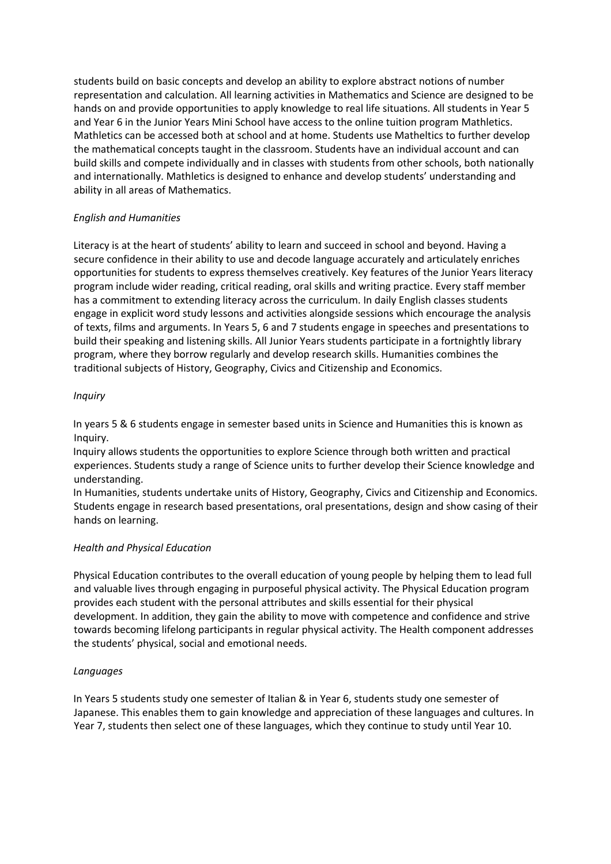students build on basic concepts and develop an ability to explore abstract notions of number representation and calculation. All learning activities in Mathematics and Science are designed to be hands on and provide opportunities to apply knowledge to real life situations. All students in Year 5 and Year 6 in the Junior Years Mini School have access to the online tuition program Mathletics. Mathletics can be accessed both at school and at home. Students use Matheltics to further develop the mathematical concepts taught in the classroom. Students have an individual account and can build skills and compete individually and in classes with students from other schools, both nationally and internationally. Mathletics is designed to enhance and develop students' understanding and ability in all areas of Mathematics.

# *English and Humanities*

Literacy is at the heart of students' ability to learn and succeed in school and beyond. Having a secure confidence in their ability to use and decode language accurately and articulately enriches opportunities for students to express themselves creatively. Key features of the Junior Years literacy program include wider reading, critical reading, oral skills and writing practice. Every staff member has a commitment to extending literacy across the curriculum. In daily English classes students engage in explicit word study lessons and activities alongside sessions which encourage the analysis of texts, films and arguments. In Years 5, 6 and 7 students engage in speeches and presentations to build their speaking and listening skills. All Junior Years students participate in a fortnightly library program, where they borrow regularly and develop research skills. Humanities combines the traditional subjects of History, Geography, Civics and Citizenship and Economics.

### *Inquiry*

In years 5 & 6 students engage in semester based units in Science and Humanities this is known as Inquiry.

Inquiry allows students the opportunities to explore Science through both written and practical experiences. Students study a range of Science units to further develop their Science knowledge and understanding.

In Humanities, students undertake units of History, Geography, Civics and Citizenship and Economics. Students engage in research based presentations, oral presentations, design and show casing of their hands on learning.

#### *Health and Physical Education*

Physical Education contributes to the overall education of young people by helping them to lead full and valuable lives through engaging in purposeful physical activity. The Physical Education program provides each student with the personal attributes and skills essential for their physical development. In addition, they gain the ability to move with competence and confidence and strive towards becoming lifelong participants in regular physical activity. The Health component addresses the students' physical, social and emotional needs.

#### *Languages*

In Years 5 students study one semester of Italian & in Year 6, students study one semester of Japanese. This enables them to gain knowledge and appreciation of these languages and cultures. In Year 7, students then select one of these languages, which they continue to study until Year 10.